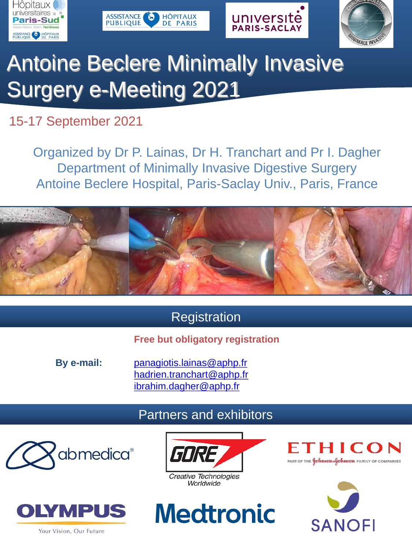







# Antoine Beclere Minimally Invasive Surgery e-Meeting 2021

## 15-17 September 2021

Organized by Dr P. Lainas, Dr H. Tranchart and Pr I. Dagher Department of Minimally Invasive Digestive Surgery Antoine Beclere Hospital, Paris-Saclay Univ., Paris, France



## **Registration**

### **Free but obligatory registration**

**By e-mail:** [panagiotis.lainas@aphp.fr](mailto:marie-christel.girard@aphp.fr) [hadrien.tranchart@aphp.fr](mailto:hadrien.tranchart@aphp.fr) [ibrahim.dagher@aphp.fr](mailto:ibrahim.dagher@aphp.fr)

### Partners and exhibitors















Your Vision, Our Future